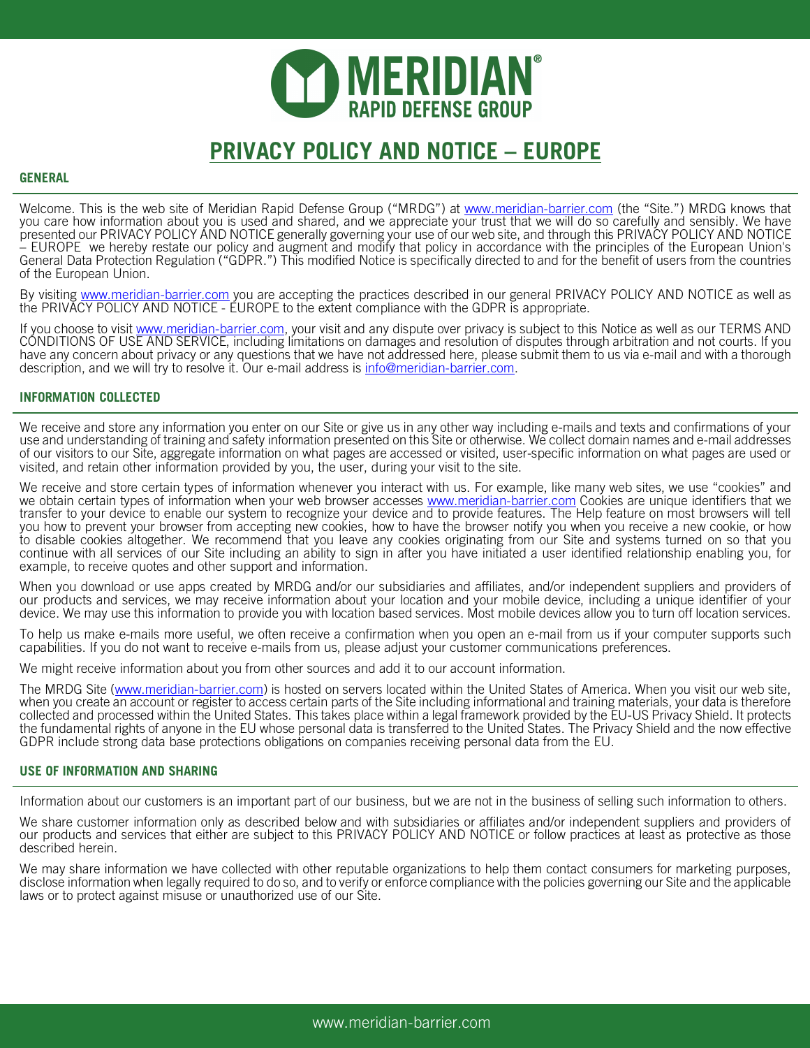

# **PRIVACY POLICY AND NOTICE – EUROPE**

# **GENERAL**

Welcome. This is the web site of Meridian Rapid Defense Group ("MRDG") at <u>www.meridian-barrier.com</u> (the "Site.") MRDG knows that you care how information about you is used and shared, and we appreciate your trust that we will do so carefully and sensibly. We have presented our PRIVACY POLICY AND NOTICE generally governing your use of our web site, and through this PRIVACY POLICY AND NOTICE<br>– EUROPE we hereby restate our policy and augment and modify that policy in accordance with t General Data Protection Regulation ("GDPR.") This modified Notice is specifically directed to and for the benefit of users from the countries of the European Union.

By visiting www.meridian-barrier.com you are accepting the practices described in our general PRIVACY POLICY AND NOTICE as well as the PRIVACY POLICY AND NOTICE - EUROPE to the extent compliance with the GDPR is appropriate.

If you choose to visit www.meridian-barrier.com, your visit and any dispute over privacy is subject to this Notice as well as our TERMS AND CONDITIONS OF USE AND SERVICE, including limitations on damages and resolution of disputes through arbitration and not courts. If you have any concern about privacy or any questions that we have not addressed here, please submit them to us via e-mail and with a thorough description, and we will try to resolve it. Our e-mail address is info@meridian-barrier.com.

# **INFORMATION COLLECTED**

We receive and store any information you enter on our Site or give us in any other way including e-mails and texts and confirmations of your use and understanding of training and safety information presented on this Site or otherwise. We collect domain names and e-mail addresses of our visitors to our Site, aggregate information on what pages are accessed or visited, user-specific information on what pages are used or visited, and retain other information provided by you, the user, during your visit to the site.

We receive and store certain types of information whenever you interact with us. For example, like many web sites, we use "cookies" and we obtain certain types of information when your web browser accesses www.meridian-barrier.com Cookies are unique identifiers that we transfer to your device to enable our system to recognize your device and to provide features. The Help feature on most browsers will tell you how to prevent your browser from accepting new cookies, how to have the browser notify you when you receive a new cookie, or how to disable cookies altogether. We recommend that you leave any cookies originating from our Site and systems turned on so that you continue with all services of our Site including an ability to sign in after you have initiated a user identified relationship enabling you, for example, to receive quotes and other support and information.

When you download or use apps created by MRDG and/or our subsidiaries and affiliates, and/or independent suppliers and providers of our products and services, we may receive information about your location and your mobile device, including a unique identifier of your device. We may use this information to provide you with location based services. Most mobile devices allow you to turn off location services.

To help us make e-mails more useful, we often receive a confirmation when you open an e-mail from us if your computer supports such capabilities. If you do not want to receive e-mails from us, please adjust your customer communications preferences.

We might receive information about you from other sources and add it to our account information.

The MRDG Site (www.meridian-barrier.com) is hosted on servers located within the United States of America. When you visit our web site, when you create an account or register to access certain parts of the Site including informational and training materials, your data is therefore collected and processed within the United States. This takes place within a legal framework provided by the EU-US Privacy Shield. It protects the fundamental rights of anyone in the EU whose personal data is transferred to the United States. The Privacy Shield and the now effective GDPR include strong data base protections obligations on companies receiving personal data from the EU.

#### **USE OF INFORMATION AND SHARING**

Information about our customers is an important part of our business, but we are not in the business of selling such information to others.

We share customer information only as described below and with subsidiaries or affiliates and/or independent suppliers and providers of our products and services that either are subject to this PRIVACY POLICY AND NOTICE or follow practices at least as protective as those described herein.

We may share information we have collected with other reputable organizations to help them contact consumers for marketing purposes, disclose information when legally required to do so, and to verify or enforce compliance with the policies governing our Site and the applicable laws or to protect against misuse or unauthorized use of our Site.